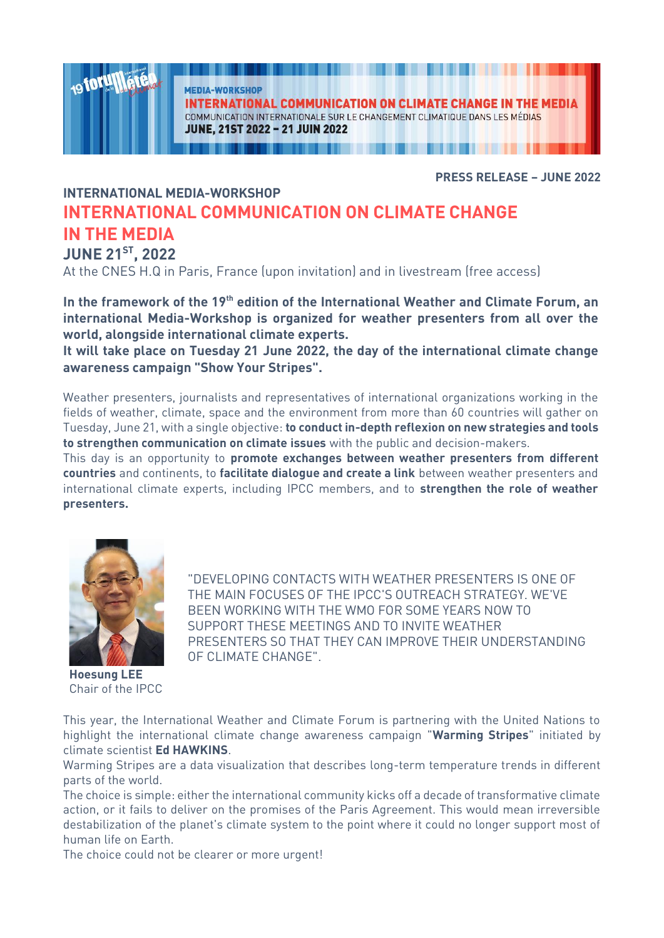**MEDIA-WORKSHOP** 

**INTERNATIONAL COMMUNICATION ON CLIMATE CHANGE IN THE MEDIA** COMMUNICATION INTERNATIONALE SUR LE CHANGEMENT CLIMATIQUE DANS LES MÉDIAS **JUNE, 21ST 2022 - 21 JUIN 2022** 

**PRESS RELEASE - JUNE 2022** 

### **INTERNATIONAL MEDIA-WORKSHOP INTERNATIONAL COMMUNICATION ON CLIMATE CHANGE IN THE MEDIA JUNE 21<sup>ST</sup>, 2022**

**JUNE ZTT, ZUZZ**<br>At the CNES H.Q in  $\mathcal{A}^{\text{max}}$  ,  $\mathcal{A}^{\text{max}}$  in  $\mathcal{A}^{\text{max}}$  in livestream (free access) and in livestream (free access) and in livestream (free access) and in livestream (free access) and in livestream (free access) and in livestre

In the framework of the 19<sup>th</sup> edition of the International Weather and Climate Forum, an international Media-Workshop is organized for weather presenters from all over the world, alongside international climate experts.

It will take place on Tuesday 21 June 2022, the day of the international climate change **It will be place that the international climate of the international contract of the international contract of the international contract of the international contract of the international contract of the international co awareness campaign "Show Your Stripes".**

Weather presenters, journalists and representatives of international organizations working in the fields of weather, climate, space and the environment from more than 60 countries will gather on Tuesday, June 21, with a single objective: to conduct in-depth reflexion on new strategies and tools to strengthen communication on climate issues with the public and decision-makers.

This day is an opportunity to **promote exchanges between weather presenters from different countries** and continents, to **facilitate dialogue and create a link** between weather presenters and international climate experts, including IPCC members, and to **strengthen the role of weather** international climate experts, including IPCC members, and to **strengthen the role of weather presenters.**



**Ag for U** 

**Hoesung LEE**<br>Chair of the **IPCC** 

"DEVELOPING CONTACTS WITH WEATHER PRESENTERS IS ONE OF THE MAIN FOCUSES OF THE IPCC'S OUTREACH STRATEGY. WE'VE<br>REEN WORKING WITH THE WMO FOR SOME YEARS NOW TO SUPPORT THESE MEETINGS AND TO INVITE WEATHER PRESENTERS SO THAT THEY CAN IMPROVE THEIR UNDERSTANDING OF CI IMATE CHANGE".

This year, the International Weather and Climate Forum is partnering with the United Nations to highlight the international climate change awareness campaign "Warming Stripes" initiated by climate scientist Ed HAWKINS.

Warming Stripes are a data visualization that describes long-term temperature trends in different parts of the world.

The choice is simple: either the international community kicks off a decade of transformative climate action, or it fails to deliver on the promises of the Paris Agreement. This would mean irreversible destabilization of the planet's climate system to the point where it could no longer support most of<br>buman life on Earth

The choice could not be clearer or more urgent!  $\overline{C}$